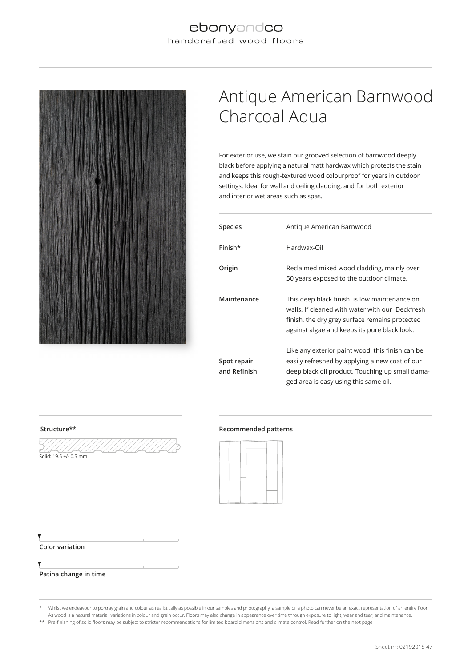#### ebonyandco handcrafted wood floors



# Antique American Barnwood Charcoal Aqua

For exterior use, we stain our grooved selection of barnwood deeply black before applying a natural matt hardwax which protects the stain and keeps this rough-textured wood colourproof for years in outdoor settings. Ideal for wall and ceiling cladding, and for both exterior and interior wet areas such as spas.

| <b>Species</b>              | Antique American Barnwood                                                                                                                                                                         |
|-----------------------------|---------------------------------------------------------------------------------------------------------------------------------------------------------------------------------------------------|
| Finish*                     | Hardwax-Oil                                                                                                                                                                                       |
| Origin                      | Reclaimed mixed wood cladding, mainly over<br>50 years exposed to the outdoor climate.                                                                                                            |
| Maintenance                 | This deep black finish is low maintenance on<br>walls. If cleaned with water with our Deckfresh<br>finish, the dry grey surface remains protected<br>against algae and keeps its pure black look. |
| Spot repair<br>and Refinish | Like any exterior paint wood, this finish can be<br>easily refreshed by applying a new coat of our<br>deep black oil product. Touching up small dama-<br>ged area is easy using this same oil.    |

#### **Structure\*\* Recommended patterns**





**Patina change in time**

 $\frac{1}{\text{Solid: } 19.5 + (-0.5)}$  mm

\* Whilst we endeavour to portray grain and colour as realistically as possible in our samples and photography, a sample or a photo can never be an exact representation of an entire floor. As wood is a natural material, variations in colour and grain occur. Floors may also change in appearance over time through exposure to light, wear and tear, and maintenance. \*\* Pre-finishing of solid floors may be subject to stricter recommendations for limited board dimensions and climate control. Read further on the next page